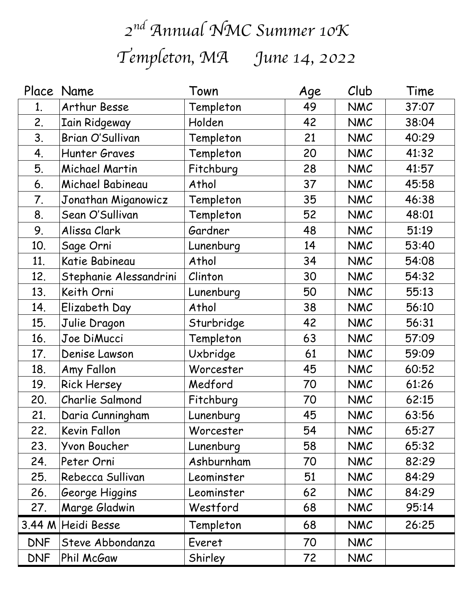## *2nd Annual NMC Summer 10K Templeton, MA June 14, 2022*

|            | Place Name             | Town       | Age | Club       | Time  |
|------------|------------------------|------------|-----|------------|-------|
| 1.         | Arthur Besse           | Templeton  | 49  | <b>NMC</b> | 37:07 |
| 2.         | <b>Iain Ridgeway</b>   | Holden     | 42  | <b>NMC</b> | 38:04 |
| 3.         | Brian O'Sullivan       | Templeton  | 21  | <b>NMC</b> | 40:29 |
| 4.         | Hunter Graves          | Templeton  | 20  | NMC        | 41:32 |
| 5.         | Michael Martin         | Fitchburg  | 28  | <b>NMC</b> | 41:57 |
| 6.         | Michael Babineau       | Athol      | 37  | <b>NMC</b> | 45:58 |
| 7.         | Jonathan Miganowicz    | Templeton  | 35  | NMC        | 46:38 |
| 8.         | Sean O'Sullivan        | Templeton  | 52  | <b>NMC</b> | 48:01 |
| 9.         | Alissa Clark           | Gardner    | 48  | <b>NMC</b> | 51:19 |
| 10.        | Sage Orni              | Lunenburg  | 14  | NMC        | 53:40 |
| 11.        | Katie Babineau         | Athol      | 34  | <b>NMC</b> | 54:08 |
| 12.        | Stephanie Alessandrini | Clinton    | 30  | <b>NMC</b> | 54:32 |
| 13.        | Keith Orni             | Lunenburg  | 50  | NMC        | 55:13 |
| 14.        | Elizabeth Day          | Athol      | 38  | <b>NMC</b> | 56:10 |
| 15.        | Julie Dragon           | Sturbridge | 42  | <b>NMC</b> | 56:31 |
| 16.        | Joe DiMucci            | Templeton  | 63  | NMC        | 57:09 |
| 17.        | Denise Lawson          | Uxbridge   | 61  | <b>NMC</b> | 59:09 |
| 18.        | Amy Fallon             | Worcester  | 45  | <b>NMC</b> | 60:52 |
| 19.        | <b>Rick Hersey</b>     | Medford    | 70  | NMC        | 61:26 |
| 20.        | Charlie Salmond        | Fitchburg  | 70  | <b>NMC</b> | 62:15 |
| 21.        | Daria Cunningham       | Lunenburg  | 45  | <b>NMC</b> | 63:56 |
| 22.        | Kevin Fallon           | Worcester  | 54  | NMC        | 65:27 |
| 23.        | Yvon Boucher           | Lunenburg  | 58  | <b>NMC</b> | 65:32 |
| 24.        | Peter Orni             | Ashburnham | 70  | <b>NMC</b> | 82:29 |
| 25.        | Rebecca Sullivan       | Leominster | 51  | <b>NMC</b> | 84:29 |
| 26.        | George Higgins         | Leominster | 62  | <b>NMC</b> | 84:29 |
| 27.        | Marge Gladwin          | Westford   | 68  | <b>NMC</b> | 95:14 |
| 3.44 M     | Heidi Besse            | Templeton  | 68  | <b>NMC</b> | 26:25 |
| <b>DNF</b> | Steve Abbondanza       | Everet     | 70  | <b>NMC</b> |       |
| <b>DNF</b> | Phil McGaw             | Shirley    | 72  | <b>NMC</b> |       |